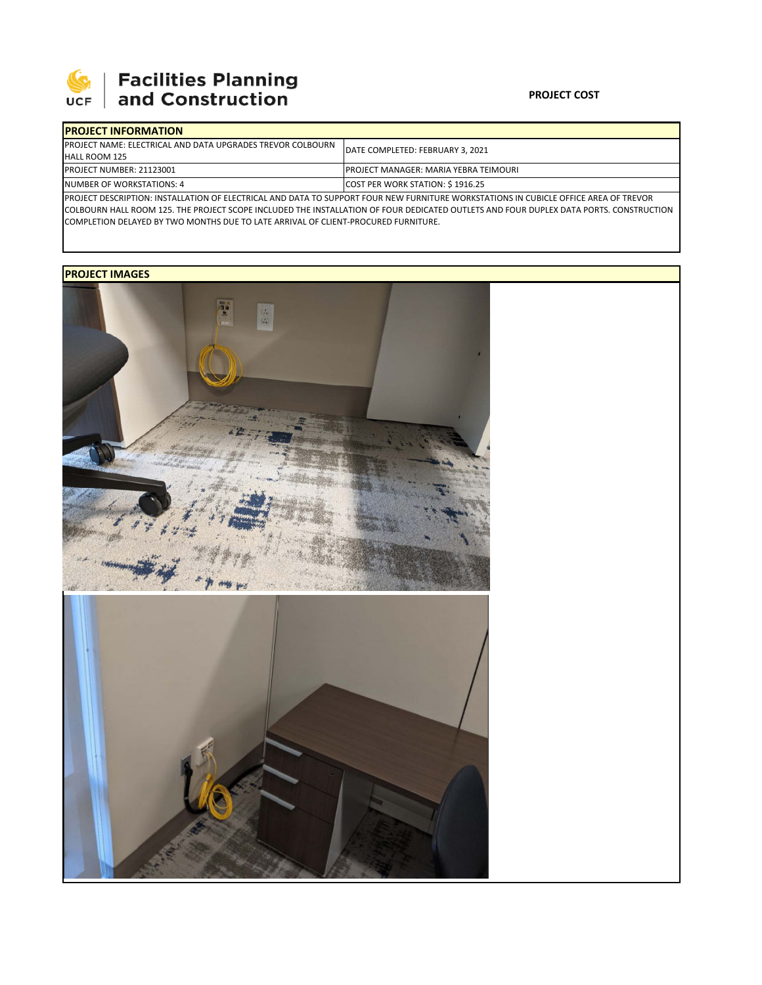

## **PROJECT COST**

| <b>IPROJECT INFORMATION</b>                                                                                                          |                                               |  |  |  |
|--------------------------------------------------------------------------------------------------------------------------------------|-----------------------------------------------|--|--|--|
| <b>IPROJECT NAME: ELECTRICAL AND DATA UPGRADES TREVOR COLBOURN</b>                                                                   | DATE COMPLETED: FEBRUARY 3, 2021              |  |  |  |
| <b>HALL ROOM 125</b>                                                                                                                 |                                               |  |  |  |
| <b>IPROJECT NUMBER: 21123001</b>                                                                                                     | <b>IPROJECT MANAGER: MARIA YEBRA TEIMOURI</b> |  |  |  |
| NUMBER OF WORKSTATIONS: 4                                                                                                            | COST PER WORK STATION: \$1916.25              |  |  |  |
| PROJECT DESCRIPTION: INSTALLATION OF ELECTRICAL AND DATA TO SUPPORT FOUR NEW FURNITURE WORKSTATIONS IN CUBICLE OFFICE AREA OF TREVOR |                                               |  |  |  |

COLBOURN HALL ROOM 125. THE PROJECT SCOPE INCLUDED THE INSTALLATION OF FOUR DEDICATED OUTLETS AND FOUR DUPLEX DATA PORTS. CONSTRUCTION COMPLETION DELAYED BY TWO MONTHS DUE TO LATE ARRIVAL OF CLIENT‐PROCURED FURNITURE.

## **PROJECT IMAGES**